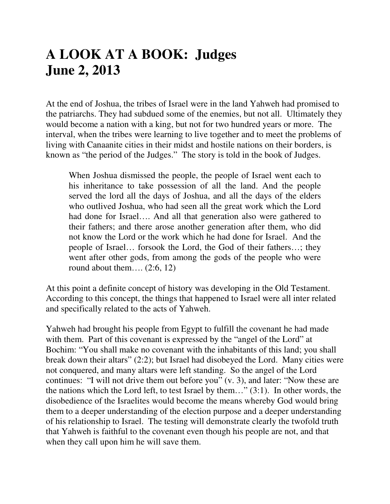# **A LOOK AT A BOOK: Judges June 2, 2013**

At the end of Joshua, the tribes of Israel were in the land Yahweh had promised to the patriarchs. They had subdued some of the enemies, but not all. Ultimately they would become a nation with a king, but not for two hundred years or more. The interval, when the tribes were learning to live together and to meet the problems of living with Canaanite cities in their midst and hostile nations on their borders, is known as "the period of the Judges." The story is told in the book of Judges.

When Joshua dismissed the people, the people of Israel went each to his inheritance to take possession of all the land. And the people served the lord all the days of Joshua, and all the days of the elders who outlived Joshua, who had seen all the great work which the Lord had done for Israel…. And all that generation also were gathered to their fathers; and there arose another generation after them, who did not know the Lord or the work which he had done for Israel. And the people of Israel… forsook the Lord, the God of their fathers…; they went after other gods, from among the gods of the people who were round about them....  $(2.6, 12)$ 

At this point a definite concept of history was developing in the Old Testament. According to this concept, the things that happened to Israel were all inter related and specifically related to the acts of Yahweh.

Yahweh had brought his people from Egypt to fulfill the covenant he had made with them. Part of this covenant is expressed by the "angel of the Lord" at Bochim: "You shall make no covenant with the inhabitants of this land; you shall break down their altars" (2:2); but Israel had disobeyed the Lord. Many cities were not conquered, and many altars were left standing. So the angel of the Lord continues: "I will not drive them out before you" (v. 3), and later: "Now these are the nations which the Lord left, to test Israel by them…" (3:1). In other words, the disobedience of the Israelites would become the means whereby God would bring them to a deeper understanding of the election purpose and a deeper understanding of his relationship to Israel. The testing will demonstrate clearly the twofold truth that Yahweh is faithful to the covenant even though his people are not, and that when they call upon him he will save them.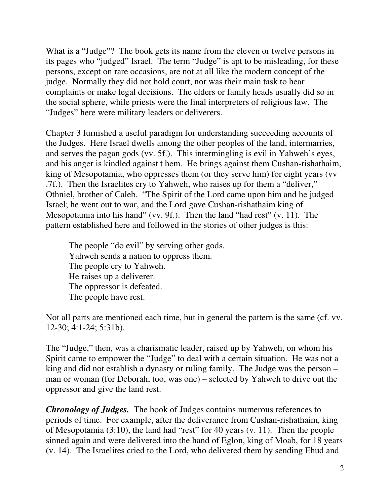What is a "Judge"? The book gets its name from the eleven or twelve persons in its pages who "judged" Israel. The term "Judge" is apt to be misleading, for these persons, except on rare occasions, are not at all like the modern concept of the judge. Normally they did not hold court, nor was their main task to hear complaints or make legal decisions. The elders or family heads usually did so in the social sphere, while priests were the final interpreters of religious law. The "Judges" here were military leaders or deliverers.

Chapter 3 furnished a useful paradigm for understanding succeeding accounts of the Judges. Here Israel dwells among the other peoples of the land, intermarries, and serves the pagan gods (vv. 5f.). This intermingling is evil in Yahweh's eyes, and his anger is kindled against t hem. He brings against them Cushan-rishathaim, king of Mesopotamia, who oppresses them (or they serve him) for eight years (vv .7f.). Then the Israelites cry to Yahweh, who raises up for them a "deliver," Othniel, brother of Caleb. "The Spirit of the Lord came upon him and he judged Israel; he went out to war, and the Lord gave Cushan-rishathaim king of Mesopotamia into his hand" (vv. 9f.). Then the land "had rest" (v. 11). The pattern established here and followed in the stories of other judges is this:

 The people "do evil" by serving other gods. Yahweh sends a nation to oppress them. The people cry to Yahweh. He raises up a deliverer. The oppressor is defeated. The people have rest.

Not all parts are mentioned each time, but in general the pattern is the same (cf. vv. 12-30; 4:1-24; 5:31b).

The "Judge," then, was a charismatic leader, raised up by Yahweh, on whom his Spirit came to empower the "Judge" to deal with a certain situation. He was not a king and did not establish a dynasty or ruling family. The Judge was the person – man or woman (for Deborah, too, was one) – selected by Yahweh to drive out the oppressor and give the land rest.

*Chronology of Judges.* The book of Judges contains numerous references to periods of time. For example, after the deliverance from Cushan-rishathaim, king of Mesopotamia (3:10), the land had "rest" for 40 years (v. 11). Then the people sinned again and were delivered into the hand of Eglon, king of Moab, for 18 years (v. 14). The Israelites cried to the Lord, who delivered them by sending Ehud and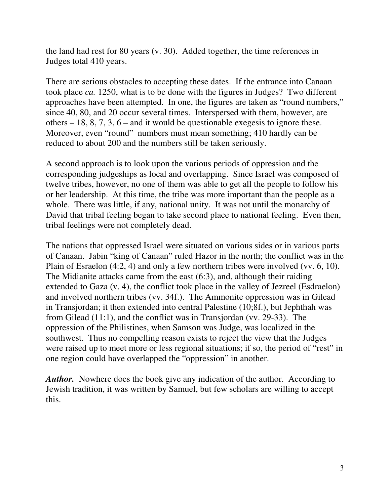the land had rest for 80 years (v. 30). Added together, the time references in Judges total 410 years.

There are serious obstacles to accepting these dates. If the entrance into Canaan took place *ca.* 1250, what is to be done with the figures in Judges? Two different approaches have been attempted. In one, the figures are taken as "round numbers," since 40, 80, and 20 occur several times. Interspersed with them, however, are others – 18, 8, 7, 3, 6 – and it would be questionable exegesis to ignore these. Moreover, even "round" numbers must mean something; 410 hardly can be reduced to about 200 and the numbers still be taken seriously.

A second approach is to look upon the various periods of oppression and the corresponding judgeships as local and overlapping. Since Israel was composed of twelve tribes, however, no one of them was able to get all the people to follow his or her leadership. At this time, the tribe was more important than the people as a whole. There was little, if any, national unity. It was not until the monarchy of David that tribal feeling began to take second place to national feeling. Even then, tribal feelings were not completely dead.

The nations that oppressed Israel were situated on various sides or in various parts of Canaan. Jabin "king of Canaan" ruled Hazor in the north; the conflict was in the Plain of Esraelon (4:2, 4) and only a few northern tribes were involved (vv. 6, 10). The Midianite attacks came from the east (6:3), and, although their raiding extended to Gaza (v. 4), the conflict took place in the valley of Jezreel (Esdraelon) and involved northern tribes (vv. 34f.). The Ammonite oppression was in Gilead in Transjordan; it then extended into central Palestine (10;8f.), but Jephthah was from Gilead (11:1), and the conflict was in Transjordan (vv. 29-33). The oppression of the Philistines, when Samson was Judge, was localized in the southwest. Thus no compelling reason exists to reject the view that the Judges were raised up to meet more or less regional situations; if so, the period of "rest" in one region could have overlapped the "oppression" in another.

*Author.* Nowhere does the book give any indication of the author. According to Jewish tradition, it was written by Samuel, but few scholars are willing to accept this.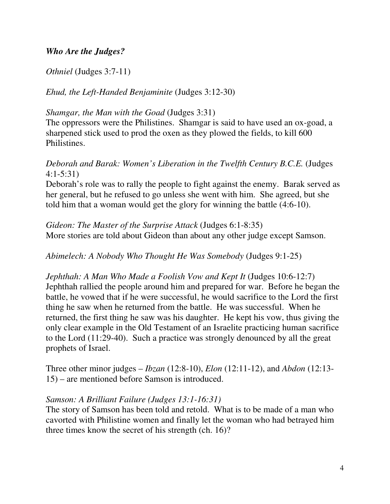## *Who Are the Judges?*

#### *Othniel* (Judges 3:7-11)

## *Ehud, the Left-Handed Benjaminite* (Judges 3:12-30)

#### *Shamgar, the Man with the Goad* (Judges 3:31)

The oppressors were the Philistines. Shamgar is said to have used an ox-goad, a sharpened stick used to prod the oxen as they plowed the fields, to kill 600 Philistines.

## *Deborah and Barak: Women's Liberation in the Twelfth Century B.C.E.* (Judges 4:1-5:31)

Deborah's role was to rally the people to fight against the enemy. Barak served as her general, but he refused to go unless she went with him. She agreed, but she told him that a woman would get the glory for winning the battle (4:6-10).

*Gideon: The Master of the Surprise Attack* (Judges 6:1-8:35) More stories are told about Gideon than about any other judge except Samson.

*Abimelech: A Nobody Who Thought He Was Somebody* (Judges 9:1-25)

*Jephthah: A Man Who Made a Foolish Vow and Kept It* (Judges 10:6-12:7) Jephthah rallied the people around him and prepared for war. Before he began the battle, he vowed that if he were successful, he would sacrifice to the Lord the first thing he saw when he returned from the battle. He was successful. When he returned, the first thing he saw was his daughter. He kept his vow, thus giving the only clear example in the Old Testament of an Israelite practicing human sacrifice to the Lord (11:29-40). Such a practice was strongly denounced by all the great prophets of Israel.

Three other minor judges – *Ibzan* (12:8-10), *Elon* (12:11-12), and *Abdon* (12:13- 15) – are mentioned before Samson is introduced.

#### *Samson: A Brilliant Failure (Judges 13:1-16:31)*

The story of Samson has been told and retold. What is to be made of a man who cavorted with Philistine women and finally let the woman who had betrayed him three times know the secret of his strength (ch. 16)?